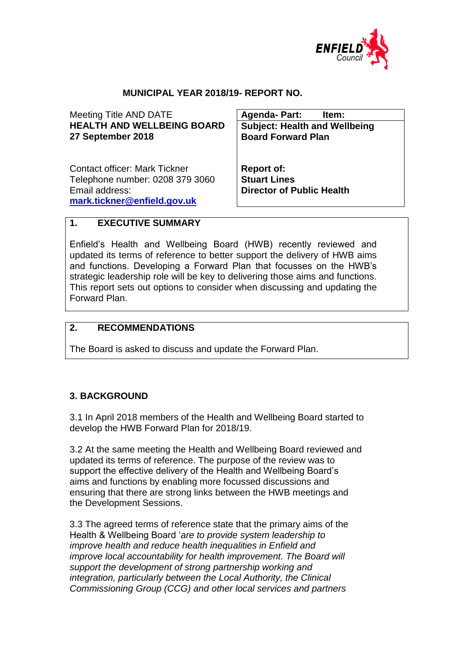

## **MUNICIPAL YEAR 2018/19- REPORT NO.**

Meeting Title AND DATE **HEALTH AND WELLBEING BOARD 27 September 2018 Agenda- Part: Item: Subject: Health and Wellbeing Board Forward Plan**  Contact officer: Mark Tickner Telephone number: 0208 379 3060 Email address: **[mark.tickner@enfield.gov.uk](mailto:mark.tickner@enfield.gov.uk) Report of: Stuart Lines Director of Public Health**

#### **1. EXECUTIVE SUMMARY**

Enfield's Health and Wellbeing Board (HWB) recently reviewed and updated its terms of reference to better support the delivery of HWB aims and functions. Developing a Forward Plan that focusses on the HWB's strategic leadership role will be key to delivering those aims and functions. This report sets out options to consider when discussing and updating the Forward Plan.

#### **2. RECOMMENDATIONS**

The Board is asked to discuss and update the Forward Plan.

#### **3. BACKGROUND**

3.1 In April 2018 members of the Health and Wellbeing Board started to develop the HWB Forward Plan for 2018/19.

3.2 At the same meeting the Health and Wellbeing Board reviewed and updated its terms of reference. The purpose of the review was to support the effective delivery of the Health and Wellbeing Board's aims and functions by enabling more focussed discussions and ensuring that there are strong links between the HWB meetings and the Development Sessions.

3.3 The agreed terms of reference state that the primary aims of the Health & Wellbeing Board '*are to provide system leadership to improve health and reduce health inequalities in Enfield and improve local accountability for health improvement. The Board will support the development of strong partnership working and integration, particularly between the Local Authority, the Clinical Commissioning Group (CCG) and other local services and partners*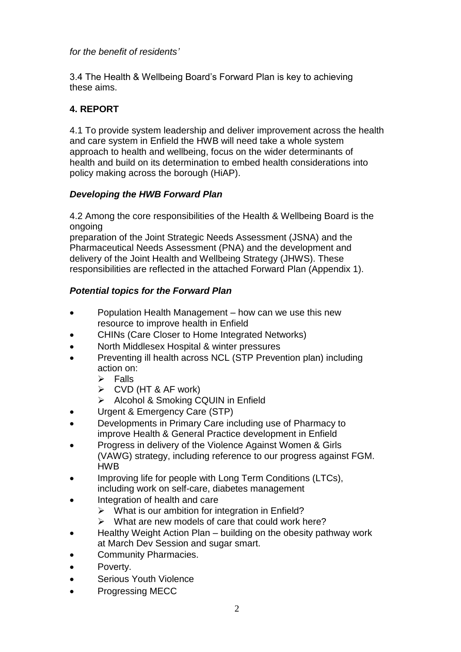*for the benefit of residents'*

3.4 The Health & Wellbeing Board's Forward Plan is key to achieving these aims.

# **4. REPORT**

4.1 To provide system leadership and deliver improvement across the health and care system in Enfield the HWB will need take a whole system approach to health and wellbeing, focus on the wider determinants of health and build on its determination to embed health considerations into policy making across the borough (HiAP).

## *Developing the HWB Forward Plan*

4.2 Among the core responsibilities of the Health & Wellbeing Board is the ongoing

preparation of the Joint Strategic Needs Assessment (JSNA) and the Pharmaceutical Needs Assessment (PNA) and the development and delivery of the Joint Health and Wellbeing Strategy (JHWS). These responsibilities are reflected in the attached Forward Plan (Appendix 1).

# *Potential topics for the Forward Plan*

- Population Health Management how can we use this new resource to improve health in Enfield
- CHINs (Care Closer to Home Integrated Networks)
- North Middlesex Hospital & winter pressures
- Preventing ill health across NCL (STP Prevention plan) including action on:
	- $\triangleright$  Falls
	- $\triangleright$  CVD (HT & AF work)
	- > Alcohol & Smoking CQUIN in Enfield
- Urgent & Emergency Care (STP)
- Developments in Primary Care including use of Pharmacy to improve Health & General Practice development in Enfield
- Progress in delivery of the Violence Against Women & Girls (VAWG) strategy, including reference to our progress against FGM. HWB
- Improving life for people with Long Term Conditions (LTCs), including work on self-care, diabetes management
- Integration of health and care
	- $\triangleright$  What is our ambition for integration in Enfield?
	- $\triangleright$  What are new models of care that could work here?
- Healthy Weight Action Plan building on the obesity pathway work at March Dev Session and sugar smart.
- Community Pharmacies.
- Poverty.
- Serious Youth Violence
- Progressing MECC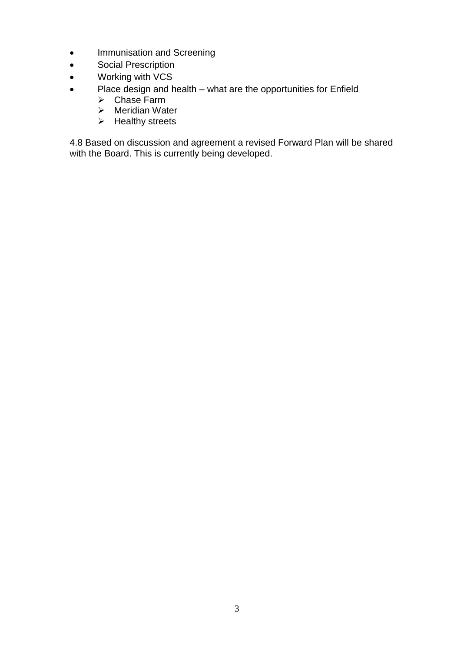- Immunisation and Screening
- **•** Social Prescription
- Working with VCS
- Place design and health what are the opportunities for Enfield
	- $\triangleright$  Chase Farm
	- $\triangleright$  Meridian Water
	- $\triangleright$  Healthy streets

4.8 Based on discussion and agreement a revised Forward Plan will be shared with the Board. This is currently being developed.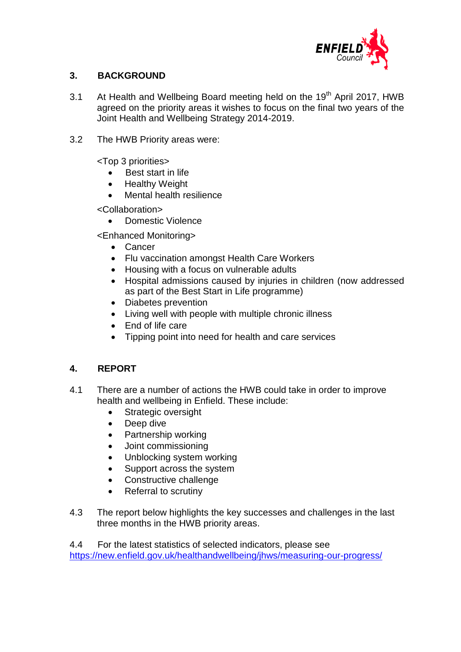

## **3. BACKGROUND**

- 3.1 At Health and Wellbeing Board meeting held on the 19<sup>th</sup> April 2017, HWB agreed on the priority areas it wishes to focus on the final two years of the Joint Health and Wellbeing Strategy 2014-2019.
- 3.2 The HWB Priority areas were:

<Top 3 priorities>

- Best start in life
- Healthy Weight
- Mental health resilience

<Collaboration>

Domestic Violence

<Enhanced Monitoring>

- Cancer
- Flu vaccination amongst Health Care Workers
- Housing with a focus on vulnerable adults
- Hospital admissions caused by injuries in children (now addressed as part of the Best Start in Life programme)
- Diabetes prevention
- Living well with people with multiple chronic illness
- End of life care
- Tipping point into need for health and care services

## **4. REPORT**

- 4.1 There are a number of actions the HWB could take in order to improve health and wellbeing in Enfield. These include:
	- Strategic oversight
	- Deep dive
	- Partnership working
	- Joint commissioning
	- Unblocking system working
	- Support across the system
	- Constructive challenge
	- Referral to scrutiny
- 4.3 The report below highlights the key successes and challenges in the last three months in the HWB priority areas.

4.4 For the latest statistics of selected indicators, please see <https://new.enfield.gov.uk/healthandwellbeing/jhws/measuring-our-progress/>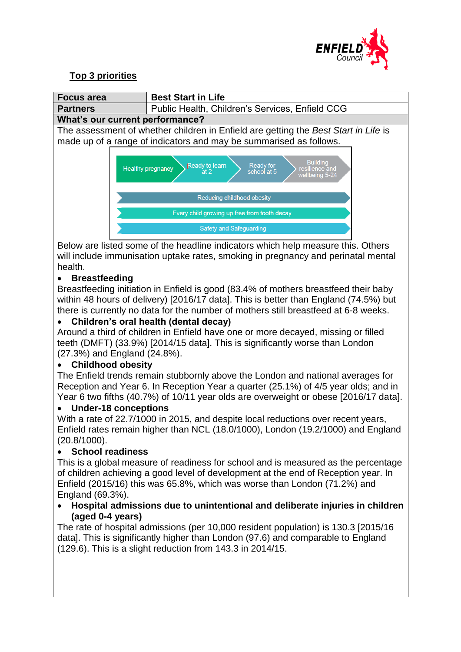

# **Top 3 priorities**



Below are listed some of the headline indicators which help measure this. Others will include immunisation uptake rates, smoking in pregnancy and perinatal mental health.

## **Breastfeeding**

Breastfeeding initiation in Enfield is good (83.4% of mothers breastfeed their baby within 48 hours of delivery) [2016/17 data]. This is better than England (74.5%) but there is currently no data for the number of mothers still breastfeed at 6-8 weeks.

## **Children's oral health (dental decay)**

Around a third of children in Enfield have one or more decayed, missing or filled teeth (DMFT) (33.9%) [2014/15 data]. This is significantly worse than London (27.3%) and England (24.8%).

## **Childhood obesity**

The Enfield trends remain stubbornly above the London and national averages for Reception and Year 6. In Reception Year a quarter (25.1%) of 4/5 year olds; and in Year 6 two fifths (40.7%) of 10/11 year olds are overweight or obese [2016/17 data].

#### **Under-18 conceptions**

With a rate of 22.7/1000 in 2015, and despite local reductions over recent years, Enfield rates remain higher than NCL (18.0/1000), London (19.2/1000) and England (20.8/1000).

## **School readiness**

This is a global measure of readiness for school and is measured as the percentage of children achieving a good level of development at the end of Reception year. In Enfield (2015/16) this was 65.8%, which was worse than London (71.2%) and England (69.3%).

#### **Hospital admissions due to unintentional and deliberate injuries in children (aged 0-4 years)**

The rate of hospital admissions (per 10,000 resident population) is 130.3 [2015/16 data]. This is significantly higher than London (97.6) and comparable to England (129.6). This is a slight reduction from 143.3 in 2014/15.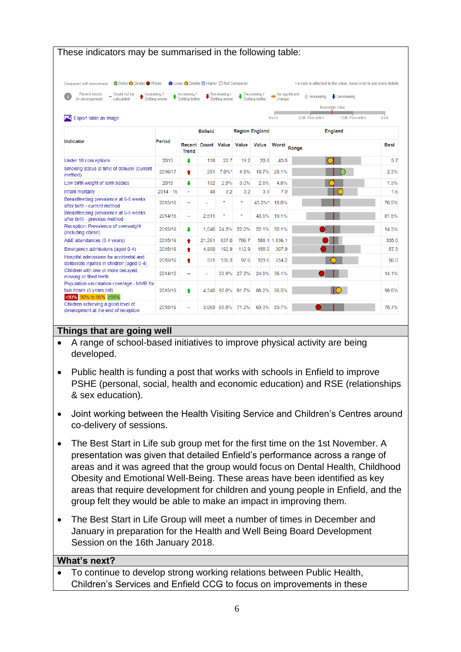| These indicators may be summarised in the following table:                                   |               |                                           |                           |               |                   |                             |                |                                                                   |             |
|----------------------------------------------------------------------------------------------|---------------|-------------------------------------------|---------------------------|---------------|-------------------|-----------------------------|----------------|-------------------------------------------------------------------|-------------|
| ● Better ● Similar ● Worse<br>Compared with benchmark                                        |               | ● Lower ● Similar ● Higher ● Not Compared |                           |               |                   |                             |                | * a note is attached to the value, hover over to see more details |             |
| Could not be<br>Recent trends:                                                               | Increasing /  | Increasing /                              |                           | Decreasing /  |                   | $\blacksquare$ Decreasing / | No significant |                                                                   |             |
| (in development)<br>calculated                                                               | Getting worse | Getting better                            |                           | Getting worse |                   | <b>Getting better</b>       | change         | <b>Increasing</b><br>$\bigcup$ Decreasing                         |             |
|                                                                                              |               |                                           |                           |               |                   |                             |                | Benchmark Value                                                   |             |
| Export table as image                                                                        |               |                                           |                           |               |                   |                             | Worst          | 75th Percentile<br>25th Percentile                                | Best        |
|                                                                                              |               |                                           | <b>Enfield</b>            |               |                   | <b>Region England</b>       |                | <b>England</b>                                                    |             |
| <b>Indicator</b>                                                                             | <b>Period</b> | <b>Trend</b>                              | <b>Recent Count Value</b> |               | <b>Value</b>      | <b>Value</b>                | <b>Worst</b>   | Range                                                             | <b>Best</b> |
| Under 18 conceptions                                                                         | 2015          | ı                                         | 138                       | 22.7          | 19.2              | 20.8                        | 43.8           |                                                                   | 5.7         |
| Smoking status at time of delivery (current<br>method)                                       | 2016/17       | ٠                                         | 291                       | $7.0\%$ *     | 4.9%              | 10.7%                       | 28.1%          |                                                                   | 2.3%        |
| Low birth weight of term babies                                                              | 2015          | ı                                         | 132                       | 2.9%          | 3.0%              | 2.8%                        | 4.8%           |                                                                   | 1.3%        |
| Infant mortality                                                                             | $2014 - 16$   | $\overline{\phantom{a}}$                  | 48                        | 3.2           | 3.2               | 3.9                         | 7.9            |                                                                   | 1.6         |
| Breastfeeding prevalence at 6-8 weeks<br>after birth - current method                        | 2015/16       | $\overline{\phantom{a}}$                  |                           | ÷             | $\star$           | 43.2%*                      | 18.0%          |                                                                   | 76.5%       |
| Breastfeeding prevalence at 6-8 weeks<br>after birth - previous method                       | 2014/15       | -                                         | 2,511                     | $\star$       | $\pmb{\ast}$      | 43.8%                       | 19.1%          |                                                                   | 81.5%       |
| Reception: Prevalence of overweight<br>(including obese)                                     | 2015/16       | ÷                                         | 1,046                     | 24.3%         | 22.0%             | 22.1%                       | 30.1%          |                                                                   | 14.3%       |
| A&E attendances (0-4 years)                                                                  | 2015/16       | ٠                                         | 21,261                    | 837.0         | 706.7             |                             | 588.1 1.836.1  |                                                                   | 335.0       |
| Emergency admissions (aged 0-4)                                                              | 2015/16       | ٠                                         | 4.900                     | 192.9         | 112.9             | 155.0                       | 307.9          |                                                                   | 57.3        |
| Hospital admissions for accidental and<br>deliberate injuries in children (aged 0-4)         | 2015/16       | ٠                                         | 331                       | 130.3         | 97.6              | 129.6                       | 254.2          |                                                                   | 56.0        |
| Children with one or more decayed,<br>missing or filled teeth                                | 2014/15       | $\overline{\phantom{a}}$                  | ÷                         | 33.9%         | 27.3%             | 24.8%                       | 56.1%          |                                                                   | 14.1%       |
| Population vaccination coverage - MMR for<br>two doses (5 years old)<br><90% 90% to 95% ≥95% | 2015/16       | ٠                                         |                           |               | 4,340 92.0% 81.7% | 88.2%                       | 56.5%          |                                                                   | 98.6%       |
| Children achieving a good level of<br>development at the end of reception                    | 2015/16       | $\overline{\phantom{0}}$                  |                           | 3.069 65.8%   | 71.2%             | 69.3%                       | 59.7%          |                                                                   | 78.7%       |

#### **Things that are going well**

- A range of school-based initiatives to improve physical activity are being developed.
- Public health is funding a post that works with schools in Enfield to improve PSHE (personal, social, health and economic education) and RSE (relationships & sex education).
- Joint working between the Health Visiting Service and Children's Centres around co-delivery of sessions.
- The Best Start in Life sub group met for the first time on the 1st November. A presentation was given that detailed Enfield's performance across a range of areas and it was agreed that the group would focus on Dental Health, Childhood Obesity and Emotional Well-Being. These areas have been identified as key areas that require development for children and young people in Enfield, and the group felt they would be able to make an impact in improving them.
- The Best Start in Life Group will meet a number of times in December and January in preparation for the Health and Well Being Board Development Session on the 16th January 2018.

#### **What's next?**

 To continue to develop strong working relations between Public Health, Children's Services and Enfield CCG to focus on improvements in these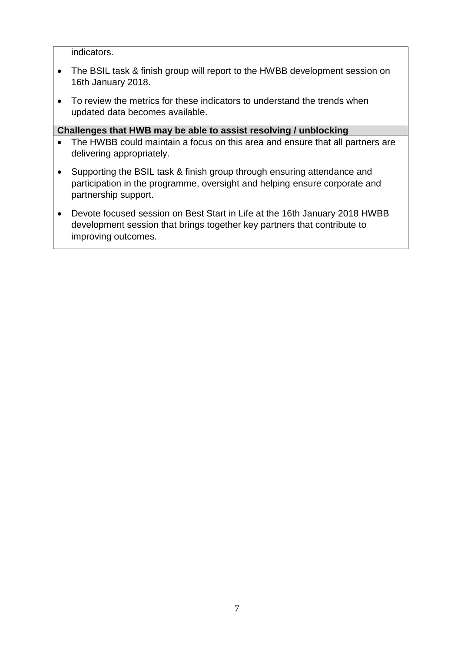indicators.

- The BSIL task & finish group will report to the HWBB development session on 16th January 2018.
- To review the metrics for these indicators to understand the trends when updated data becomes available.

- The HWBB could maintain a focus on this area and ensure that all partners are delivering appropriately.
- Supporting the BSIL task & finish group through ensuring attendance and participation in the programme, oversight and helping ensure corporate and partnership support.
- Devote focused session on Best Start in Life at the 16th January 2018 HWBB development session that brings together key partners that contribute to improving outcomes.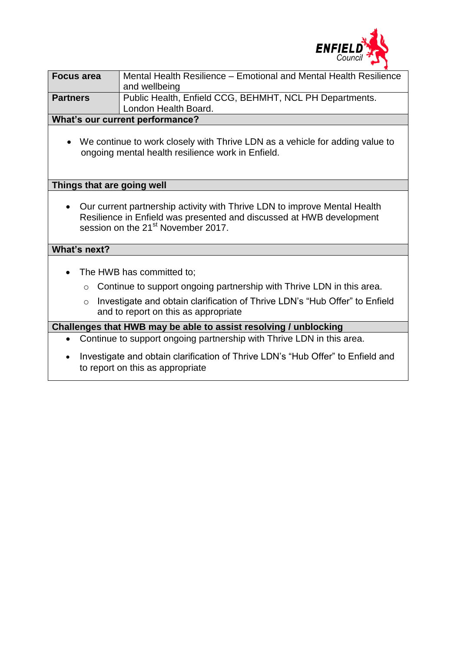

| <b>Focus area</b> | Mental Health Resilience – Emotional and Mental Health Resilience<br>and wellbeing |
|-------------------|------------------------------------------------------------------------------------|
| <b>Partners</b>   | Public Health, Enfield CCG, BEHMHT, NCL PH Departments.<br>London Health Board.    |
|                   |                                                                                    |

#### **What's our current performance?**

 We continue to work closely with Thrive LDN as a vehicle for adding value to ongoing mental health resilience work in Enfield.

#### **Things that are going well**

 Our current partnership activity with Thrive LDN to improve Mental Health Resilience in Enfield was presented and discussed at HWB development session on the 21<sup>st</sup> November 2017.

#### **What's next?**

- The HWB has committed to;
	- o Continue to support ongoing partnership with Thrive LDN in this area.
	- o Investigate and obtain clarification of Thrive LDN's "Hub Offer" to Enfield and to report on this as appropriate

- Continue to support ongoing partnership with Thrive LDN in this area.
- Investigate and obtain clarification of Thrive LDN's "Hub Offer" to Enfield and to report on this as appropriate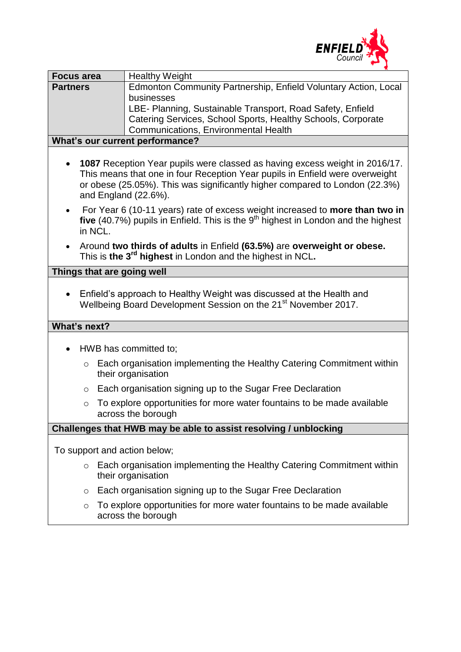

| <b>Focus area</b>                                                                                    | <b>Healthy Weight</b>                                                                                                                                                                                                                                              |  |  |  |  |  |  |
|------------------------------------------------------------------------------------------------------|--------------------------------------------------------------------------------------------------------------------------------------------------------------------------------------------------------------------------------------------------------------------|--|--|--|--|--|--|
| <b>Partners</b>                                                                                      | Edmonton Community Partnership, Enfield Voluntary Action, Local                                                                                                                                                                                                    |  |  |  |  |  |  |
|                                                                                                      | businesses                                                                                                                                                                                                                                                         |  |  |  |  |  |  |
|                                                                                                      | LBE- Planning, Sustainable Transport, Road Safety, Enfield                                                                                                                                                                                                         |  |  |  |  |  |  |
| Catering Services, School Sports, Healthy Schools, Corporate<br>Communications, Environmental Health |                                                                                                                                                                                                                                                                    |  |  |  |  |  |  |
| What's our current performance?                                                                      |                                                                                                                                                                                                                                                                    |  |  |  |  |  |  |
|                                                                                                      |                                                                                                                                                                                                                                                                    |  |  |  |  |  |  |
| $\bullet$                                                                                            | 1087 Reception Year pupils were classed as having excess weight in 2016/17.<br>This means that one in four Reception Year pupils in Enfield were overweight<br>or obese (25.05%). This was significantly higher compared to London (22.3%)<br>and England (22.6%). |  |  |  |  |  |  |
| $\bullet$                                                                                            | For Year 6 (10-11 years) rate of excess weight increased to more than two in<br>five (40.7%) pupils in Enfield. This is the $9th$ highest in London and the highest<br>in NCL.                                                                                     |  |  |  |  |  |  |
| $\bullet$                                                                                            | Around two thirds of adults in Enfield (63.5%) are overweight or obese.<br>This is the 3 <sup>rd</sup> highest in London and the highest in NCL.                                                                                                                   |  |  |  |  |  |  |
|                                                                                                      | Things that are going well                                                                                                                                                                                                                                         |  |  |  |  |  |  |
|                                                                                                      |                                                                                                                                                                                                                                                                    |  |  |  |  |  |  |
|                                                                                                      | Enfield's approach to Healthy Weight was discussed at the Health and<br>Wellbeing Board Development Session on the 21 <sup>st</sup> November 2017.                                                                                                                 |  |  |  |  |  |  |
| What's next?                                                                                         |                                                                                                                                                                                                                                                                    |  |  |  |  |  |  |
| $\bullet$                                                                                            | HWB has committed to;                                                                                                                                                                                                                                              |  |  |  |  |  |  |
| $\circ$                                                                                              | Each organisation implementing the Healthy Catering Commitment within<br>their organisation                                                                                                                                                                        |  |  |  |  |  |  |
| $\circ$                                                                                              | Each organisation signing up to the Sugar Free Declaration                                                                                                                                                                                                         |  |  |  |  |  |  |
| $\circ$                                                                                              | To explore opportunities for more water fountains to be made available<br>across the borough                                                                                                                                                                       |  |  |  |  |  |  |
| Challenges that HWB may be able to assist resolving / unblocking                                     |                                                                                                                                                                                                                                                                    |  |  |  |  |  |  |
|                                                                                                      |                                                                                                                                                                                                                                                                    |  |  |  |  |  |  |
|                                                                                                      | To support and action below;                                                                                                                                                                                                                                       |  |  |  |  |  |  |
| $\circ$                                                                                              | Each organisation implementing the Healthy Catering Commitment within<br>their organisation                                                                                                                                                                        |  |  |  |  |  |  |
| $\circ$                                                                                              | Each organisation signing up to the Sugar Free Declaration                                                                                                                                                                                                         |  |  |  |  |  |  |
| $\circ$                                                                                              | To explore opportunities for more water fountains to be made available<br>across the borough                                                                                                                                                                       |  |  |  |  |  |  |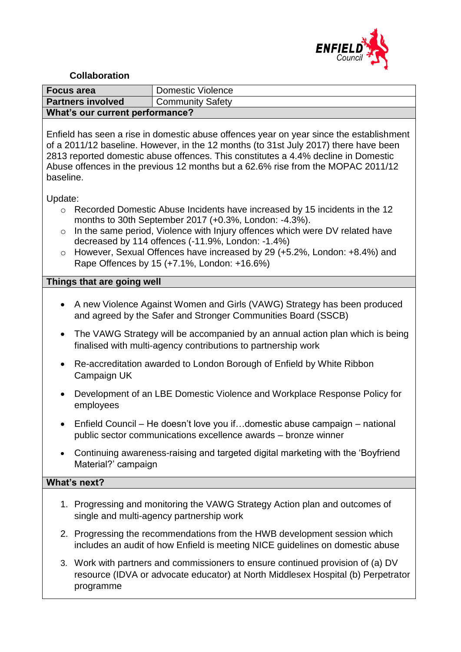

#### **Collaboration**

| <b>Focus area</b>               | Domestic Violence       |  |  |  |  |
|---------------------------------|-------------------------|--|--|--|--|
| <b>Partners involved</b>        | <b>Community Safety</b> |  |  |  |  |
| What's our current performance? |                         |  |  |  |  |

Enfield has seen a rise in domestic abuse offences year on year since the establishment of a 2011/12 baseline. However, in the 12 months (to 31st July 2017) there have been 2813 reported domestic abuse offences. This constitutes a 4.4% decline in Domestic Abuse offences in the previous 12 months but a 62.6% rise from the MOPAC 2011/12 baseline.

Update:

- o Recorded Domestic Abuse Incidents have increased by 15 incidents in the 12 months to 30th September 2017 (+0.3%, London: -4.3%).
- o In the same period, Violence with Injury offences which were DV related have decreased by 114 offences (-11.9%, London: -1.4%)
- o However, Sexual Offences have increased by 29 (+5.2%, London: +8.4%) and Rape Offences by 15 (+7.1%, London: +16.6%)

#### **Things that are going well**

- A new Violence Against Women and Girls (VAWG) Strategy has been produced and agreed by the Safer and Stronger Communities Board (SSCB)
- The VAWG Strategy will be accompanied by an annual action plan which is being finalised with multi-agency contributions to partnership work
- Re-accreditation awarded to London Borough of Enfield by White Ribbon Campaign UK
- Development of an LBE Domestic Violence and Workplace Response Policy for employees
- Enfield Council He doesn't love you if…domestic abuse campaign national public sector communications excellence awards – bronze winner
- Continuing awareness-raising and targeted digital marketing with the 'Boyfriend Material?' campaign

#### **What's next?**

- 1. Progressing and monitoring the VAWG Strategy Action plan and outcomes of single and multi-agency partnership work
- 2. Progressing the recommendations from the HWB development session which includes an audit of how Enfield is meeting NICE guidelines on domestic abuse
- 3. Work with partners and commissioners to ensure continued provision of (a) DV resource (IDVA or advocate educator) at North Middlesex Hospital (b) Perpetrator programme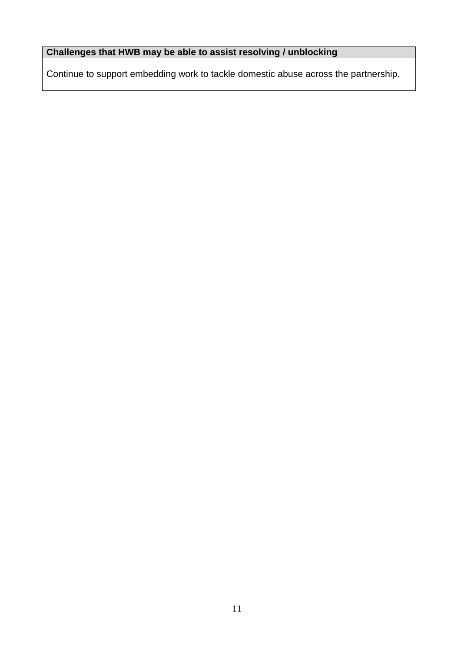# **Challenges that HWB may be able to assist resolving / unblocking**

Continue to support embedding work to tackle domestic abuse across the partnership.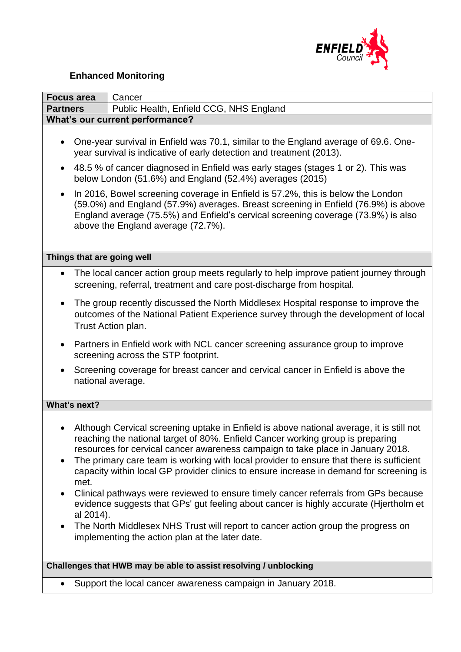

# **Enhanced Monitoring**

| <b>Focus area</b>                                                                                                                                                                                                                                                                                                                                                                                                                                                                                                                                                                                                            | Cancer                                                                                                                                                                                                                                                                                                                                                                                                                                                                                                                                                                                                                                                                                                                                                                    |  |  |  |  |  |  |
|------------------------------------------------------------------------------------------------------------------------------------------------------------------------------------------------------------------------------------------------------------------------------------------------------------------------------------------------------------------------------------------------------------------------------------------------------------------------------------------------------------------------------------------------------------------------------------------------------------------------------|---------------------------------------------------------------------------------------------------------------------------------------------------------------------------------------------------------------------------------------------------------------------------------------------------------------------------------------------------------------------------------------------------------------------------------------------------------------------------------------------------------------------------------------------------------------------------------------------------------------------------------------------------------------------------------------------------------------------------------------------------------------------------|--|--|--|--|--|--|
| <b>Partners</b>                                                                                                                                                                                                                                                                                                                                                                                                                                                                                                                                                                                                              | Public Health, Enfield CCG, NHS England                                                                                                                                                                                                                                                                                                                                                                                                                                                                                                                                                                                                                                                                                                                                   |  |  |  |  |  |  |
|                                                                                                                                                                                                                                                                                                                                                                                                                                                                                                                                                                                                                              | What's our current performance?                                                                                                                                                                                                                                                                                                                                                                                                                                                                                                                                                                                                                                                                                                                                           |  |  |  |  |  |  |
| One-year survival in Enfield was 70.1, similar to the England average of 69.6. One-<br>year survival is indicative of early detection and treatment (2013).<br>48.5 % of cancer diagnosed in Enfield was early stages (stages 1 or 2). This was<br>$\bullet$<br>below London (51.6%) and England (52.4%) averages (2015)<br>In 2016, Bowel screening coverage in Enfield is 57.2%, this is below the London<br>(59.0%) and England (57.9%) averages. Breast screening in Enfield (76.9%) is above<br>England average (75.5%) and Enfield's cervical screening coverage (73.9%) is also<br>above the England average (72.7%). |                                                                                                                                                                                                                                                                                                                                                                                                                                                                                                                                                                                                                                                                                                                                                                           |  |  |  |  |  |  |
| Things that are going well                                                                                                                                                                                                                                                                                                                                                                                                                                                                                                                                                                                                   |                                                                                                                                                                                                                                                                                                                                                                                                                                                                                                                                                                                                                                                                                                                                                                           |  |  |  |  |  |  |
| $\bullet$                                                                                                                                                                                                                                                                                                                                                                                                                                                                                                                                                                                                                    | The local cancer action group meets regularly to help improve patient journey through<br>screening, referral, treatment and care post-discharge from hospital.                                                                                                                                                                                                                                                                                                                                                                                                                                                                                                                                                                                                            |  |  |  |  |  |  |
| $\bullet$<br>Trust Action plan.                                                                                                                                                                                                                                                                                                                                                                                                                                                                                                                                                                                              | The group recently discussed the North Middlesex Hospital response to improve the<br>outcomes of the National Patient Experience survey through the development of local                                                                                                                                                                                                                                                                                                                                                                                                                                                                                                                                                                                                  |  |  |  |  |  |  |
| $\bullet$                                                                                                                                                                                                                                                                                                                                                                                                                                                                                                                                                                                                                    | Partners in Enfield work with NCL cancer screening assurance group to improve<br>screening across the STP footprint.                                                                                                                                                                                                                                                                                                                                                                                                                                                                                                                                                                                                                                                      |  |  |  |  |  |  |
|                                                                                                                                                                                                                                                                                                                                                                                                                                                                                                                                                                                                                              | Screening coverage for breast cancer and cervical cancer in Enfield is above the<br>national average.                                                                                                                                                                                                                                                                                                                                                                                                                                                                                                                                                                                                                                                                     |  |  |  |  |  |  |
| What's next?                                                                                                                                                                                                                                                                                                                                                                                                                                                                                                                                                                                                                 |                                                                                                                                                                                                                                                                                                                                                                                                                                                                                                                                                                                                                                                                                                                                                                           |  |  |  |  |  |  |
| ٠<br>met.<br>$\bullet$<br>al 2014).<br>$\bullet$                                                                                                                                                                                                                                                                                                                                                                                                                                                                                                                                                                             | Although Cervical screening uptake in Enfield is above national average, it is still not<br>reaching the national target of 80%. Enfield Cancer working group is preparing<br>resources for cervical cancer awareness campaign to take place in January 2018.<br>The primary care team is working with local provider to ensure that there is sufficient<br>capacity within local GP provider clinics to ensure increase in demand for screening is<br>Clinical pathways were reviewed to ensure timely cancer referrals from GPs because<br>evidence suggests that GPs' gut feeling about cancer is highly accurate (Hjertholm et<br>The North Middlesex NHS Trust will report to cancer action group the progress on<br>implementing the action plan at the later date. |  |  |  |  |  |  |
|                                                                                                                                                                                                                                                                                                                                                                                                                                                                                                                                                                                                                              | Challenges that HWB may be able to assist resolving / unblocking                                                                                                                                                                                                                                                                                                                                                                                                                                                                                                                                                                                                                                                                                                          |  |  |  |  |  |  |

• Support the local cancer awareness campaign in January 2018.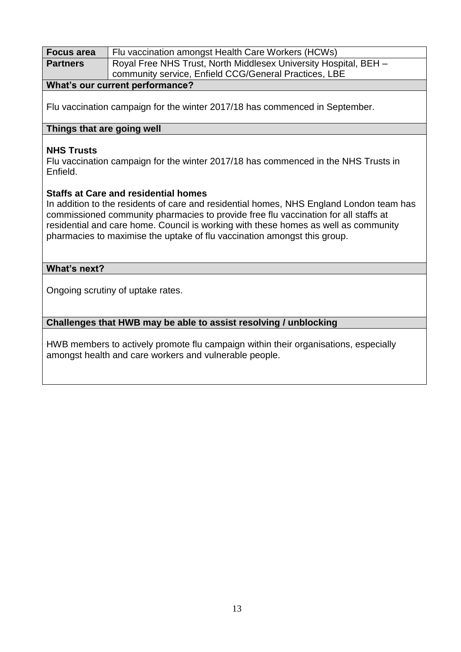| <b>Focus area</b>                                                                   | Flu vaccination amongst Health Care Workers (HCWs)                                      |  |  |  |
|-------------------------------------------------------------------------------------|-----------------------------------------------------------------------------------------|--|--|--|
| <b>Partners</b>                                                                     | Royal Free NHS Trust, North Middlesex University Hospital, BEH -                        |  |  |  |
|                                                                                     | community service, Enfield CCG/General Practices, LBE                                   |  |  |  |
|                                                                                     | What's our current performance?                                                         |  |  |  |
|                                                                                     |                                                                                         |  |  |  |
|                                                                                     | Flu vaccination campaign for the winter 2017/18 has commenced in September.             |  |  |  |
|                                                                                     |                                                                                         |  |  |  |
| Things that are going well                                                          |                                                                                         |  |  |  |
|                                                                                     |                                                                                         |  |  |  |
| <b>NHS Trusts</b>                                                                   |                                                                                         |  |  |  |
|                                                                                     | Flu vaccination campaign for the winter 2017/18 has commenced in the NHS Trusts in      |  |  |  |
| Enfield.                                                                            |                                                                                         |  |  |  |
|                                                                                     |                                                                                         |  |  |  |
|                                                                                     | <b>Staffs at Care and residential homes</b>                                             |  |  |  |
|                                                                                     | In addition to the residents of care and residential homes, NHS England London team has |  |  |  |
|                                                                                     | commissioned community pharmacies to provide free flu vaccination for all staffs at     |  |  |  |
|                                                                                     | residential and care home. Council is working with these homes as well as community     |  |  |  |
|                                                                                     | pharmacies to maximise the uptake of flu vaccination amongst this group.                |  |  |  |
|                                                                                     |                                                                                         |  |  |  |
| What's next?                                                                        |                                                                                         |  |  |  |
|                                                                                     |                                                                                         |  |  |  |
| Ongoing scrutiny of uptake rates.                                                   |                                                                                         |  |  |  |
|                                                                                     |                                                                                         |  |  |  |
|                                                                                     |                                                                                         |  |  |  |
|                                                                                     | Challenges that HWB may be able to assist resolving / unblocking                        |  |  |  |
|                                                                                     |                                                                                         |  |  |  |
| HWB members to actively promote flu campaign within their organisations, especially |                                                                                         |  |  |  |
|                                                                                     | amongst health and care workers and vulnerable people.                                  |  |  |  |
|                                                                                     |                                                                                         |  |  |  |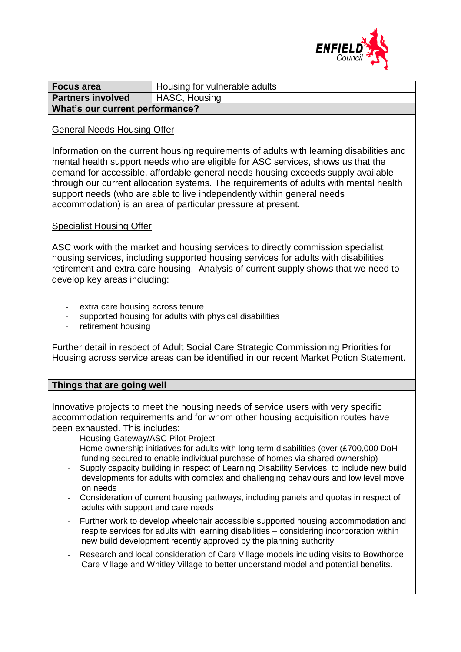

| <b>Focus area</b>                                | Housing for vulnerable adults |  |  |  |  |
|--------------------------------------------------|-------------------------------|--|--|--|--|
| <b>HASC, Housing</b><br><b>Partners involved</b> |                               |  |  |  |  |
| What's our current performance?                  |                               |  |  |  |  |

#### General Needs Housing Offer

Information on the current housing requirements of adults with learning disabilities and mental health support needs who are eligible for ASC services, shows us that the demand for accessible, affordable general needs housing exceeds supply available through our current allocation systems. The requirements of adults with mental health support needs (who are able to live independently within general needs accommodation) is an area of particular pressure at present.

#### Specialist Housing Offer

ASC work with the market and housing services to directly commission specialist housing services, including supported housing services for adults with disabilities retirement and extra care housing. Analysis of current supply shows that we need to develop key areas including:

- extra care housing across tenure
- supported housing for adults with physical disabilities
- retirement housing

Further detail in respect of Adult Social Care Strategic Commissioning Priorities for Housing across service areas can be identified in our recent Market Potion Statement.

#### **Things that are going well**

Innovative projects to meet the housing needs of service users with very specific accommodation requirements and for whom other housing acquisition routes have been exhausted. This includes:

- Housing Gateway/ASC Pilot Project
- Home ownership initiatives for adults with long term disabilities (over (£700,000 DoH funding secured to enable individual purchase of homes via shared ownership)
- Supply capacity building in respect of Learning Disability Services, to include new build developments for adults with complex and challenging behaviours and low level move on needs
- Consideration of current housing pathways, including panels and quotas in respect of adults with support and care needs
- Further work to develop wheelchair accessible supported housing accommodation and respite services for adults with learning disabilities – considering incorporation within new build development recently approved by the planning authority
- Research and local consideration of Care Village models including visits to Bowthorpe Care Village and Whitley Village to better understand model and potential benefits.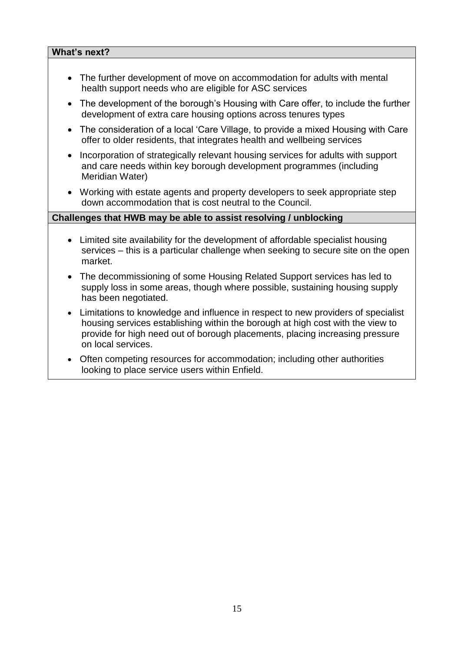#### **What's next?**

- The further development of move on accommodation for adults with mental health support needs who are eligible for ASC services
- The development of the borough's Housing with Care offer, to include the further development of extra care housing options across tenures types
- The consideration of a local 'Care Village, to provide a mixed Housing with Care offer to older residents, that integrates health and wellbeing services
- Incorporation of strategically relevant housing services for adults with support and care needs within key borough development programmes (including Meridian Water)
- Working with estate agents and property developers to seek appropriate step down accommodation that is cost neutral to the Council.

- Limited site availability for the development of affordable specialist housing services – this is a particular challenge when seeking to secure site on the open market.
- The decommissioning of some Housing Related Support services has led to supply loss in some areas, though where possible, sustaining housing supply has been negotiated.
- Limitations to knowledge and influence in respect to new providers of specialist housing services establishing within the borough at high cost with the view to provide for high need out of borough placements, placing increasing pressure on local services.
- Often competing resources for accommodation; including other authorities looking to place service users within Enfield.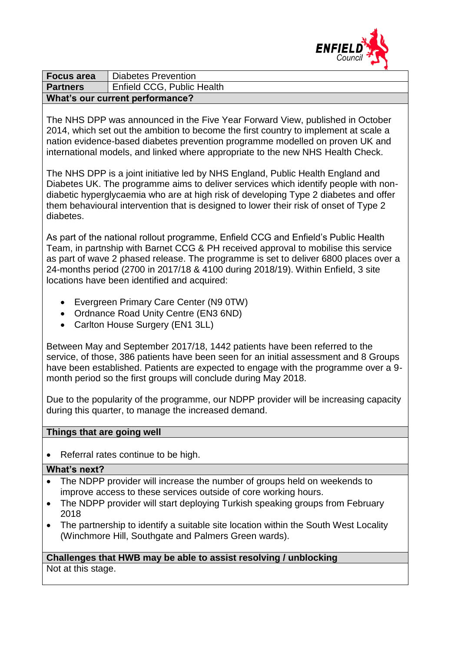

| <b>Focus area</b>               | Diabetes Prevention        |  |  |  |  |
|---------------------------------|----------------------------|--|--|--|--|
| <b>Partners</b>                 | Enfield CCG, Public Health |  |  |  |  |
| What's our current performance? |                            |  |  |  |  |

The NHS DPP was announced in the Five Year Forward View, published in October 2014, which set out the ambition to become the first country to implement at scale a nation evidence-based diabetes prevention programme modelled on proven UK and international models, and linked where appropriate to the new NHS Health Check.

The NHS DPP is a joint initiative led by NHS England, Public Health England and Diabetes UK. The programme aims to deliver services which identify people with nondiabetic hyperglycaemia who are at high risk of developing Type 2 diabetes and offer them behavioural intervention that is designed to lower their risk of onset of Type 2 diabetes.

As part of the national rollout programme, Enfield CCG and Enfield's Public Health Team, in partnship with Barnet CCG & PH received approval to mobilise this service as part of wave 2 phased release. The programme is set to deliver 6800 places over a 24-months period (2700 in 2017/18 & 4100 during 2018/19). Within Enfield, 3 site locations have been identified and acquired:

- Evergreen Primary Care Center (N9 0TW)
- Ordnance Road Unity Centre (EN3 6ND)
- Carlton House Surgery (EN1 3LL)

Between May and September 2017/18, 1442 patients have been referred to the service, of those, 386 patients have been seen for an initial assessment and 8 Groups have been established. Patients are expected to engage with the programme over a 9 month period so the first groups will conclude during May 2018.

Due to the popularity of the programme, our NDPP provider will be increasing capacity during this quarter, to manage the increased demand.

#### **Things that are going well**

• Referral rates continue to be high.

#### **What's next?**

- The NDPP provider will increase the number of groups held on weekends to improve access to these services outside of core working hours.
- The NDPP provider will start deploying Turkish speaking groups from February 2018
- The partnership to identify a suitable site location within the South West Locality (Winchmore Hill, Southgate and Palmers Green wards).

## **Challenges that HWB may be able to assist resolving / unblocking** Not at this stage.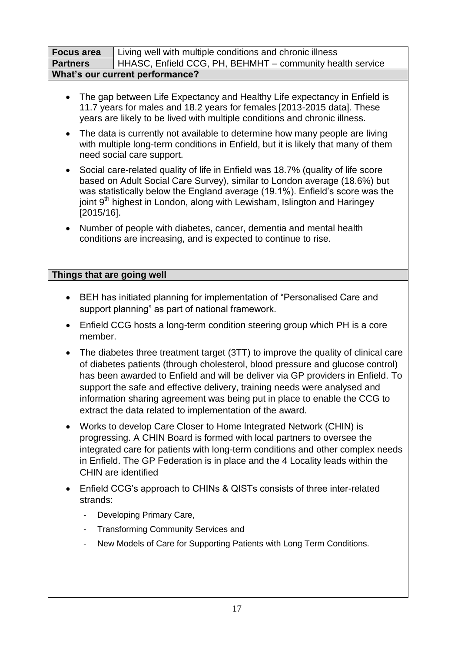| <b>Focus area</b>                      | Living well with multiple conditions and chronic illness                                                                                                                                                                                                                                                                                                                                                                                                                     |  |  |  |  |  |  |
|----------------------------------------|------------------------------------------------------------------------------------------------------------------------------------------------------------------------------------------------------------------------------------------------------------------------------------------------------------------------------------------------------------------------------------------------------------------------------------------------------------------------------|--|--|--|--|--|--|
| <b>Partners</b>                        | HHASC, Enfield CCG, PH, BEHMHT - community health service                                                                                                                                                                                                                                                                                                                                                                                                                    |  |  |  |  |  |  |
| <b>What's our current performance?</b> |                                                                                                                                                                                                                                                                                                                                                                                                                                                                              |  |  |  |  |  |  |
|                                        | The gap between Life Expectancy and Healthy Life expectancy in Enfield is<br>11.7 years for males and 18.2 years for females [2013-2015 data]. These<br>years are likely to be lived with multiple conditions and chronic illness.                                                                                                                                                                                                                                           |  |  |  |  |  |  |
| $\bullet$                              | The data is currently not available to determine how many people are living<br>with multiple long-term conditions in Enfield, but it is likely that many of them<br>need social care support.                                                                                                                                                                                                                                                                                |  |  |  |  |  |  |
| $\bullet$                              | Social care-related quality of life in Enfield was 18.7% (quality of life score<br>based on Adult Social Care Survey), similar to London average (18.6%) but<br>was statistically below the England average (19.1%). Enfield's score was the<br>joint 9 <sup>th</sup> highest in London, along with Lewisham, Islington and Haringey<br>$[2015/16]$ .                                                                                                                        |  |  |  |  |  |  |
| $\bullet$                              | Number of people with diabetes, cancer, dementia and mental health<br>conditions are increasing, and is expected to continue to rise.                                                                                                                                                                                                                                                                                                                                        |  |  |  |  |  |  |
| Things that are going well             |                                                                                                                                                                                                                                                                                                                                                                                                                                                                              |  |  |  |  |  |  |
|                                        |                                                                                                                                                                                                                                                                                                                                                                                                                                                                              |  |  |  |  |  |  |
| $\bullet$                              | BEH has initiated planning for implementation of "Personalised Care and<br>support planning" as part of national framework.                                                                                                                                                                                                                                                                                                                                                  |  |  |  |  |  |  |
| $\bullet$                              | Enfield CCG hosts a long-term condition steering group which PH is a core<br>member.                                                                                                                                                                                                                                                                                                                                                                                         |  |  |  |  |  |  |
| $\bullet$                              | The diabetes three treatment target (3TT) to improve the quality of clinical care<br>of diabetes patients (through cholesterol, blood pressure and glucose control)<br>has been awarded to Enfield and will be deliver via GP providers in Enfield. To<br>support the safe and effective delivery, training needs were analysed and<br>information sharing agreement was being put in place to enable the CCG to<br>extract the data related to implementation of the award. |  |  |  |  |  |  |
| $\bullet$                              | Works to develop Care Closer to Home Integrated Network (CHIN) is<br>progressing. A CHIN Board is formed with local partners to oversee the<br>integrated care for patients with long-term conditions and other complex needs<br>in Enfield. The GP Federation is in place and the 4 Locality leads within the<br><b>CHIN</b> are identified                                                                                                                                 |  |  |  |  |  |  |
| $\bullet$<br>strands:                  | Enfield CCG's approach to CHINs & QISTs consists of three inter-related                                                                                                                                                                                                                                                                                                                                                                                                      |  |  |  |  |  |  |
|                                        | Developing Primary Care,                                                                                                                                                                                                                                                                                                                                                                                                                                                     |  |  |  |  |  |  |
| -                                      | <b>Transforming Community Services and</b>                                                                                                                                                                                                                                                                                                                                                                                                                                   |  |  |  |  |  |  |
| -                                      | New Models of Care for Supporting Patients with Long Term Conditions.                                                                                                                                                                                                                                                                                                                                                                                                        |  |  |  |  |  |  |
|                                        |                                                                                                                                                                                                                                                                                                                                                                                                                                                                              |  |  |  |  |  |  |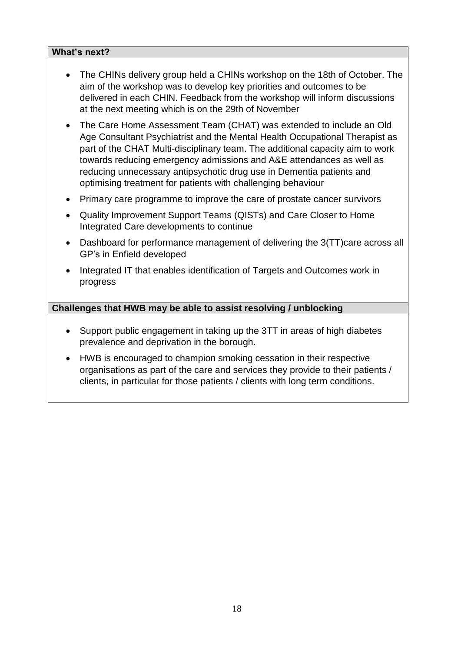#### **What's next?**

- The CHINs delivery group held a CHINs workshop on the 18th of October. The aim of the workshop was to develop key priorities and outcomes to be delivered in each CHIN. Feedback from the workshop will inform discussions at the next meeting which is on the 29th of November
- The Care Home Assessment Team (CHAT) was extended to include an Old Age Consultant Psychiatrist and the Mental Health Occupational Therapist as part of the CHAT Multi-disciplinary team. The additional capacity aim to work towards reducing emergency admissions and A&E attendances as well as reducing unnecessary antipsychotic drug use in Dementia patients and optimising treatment for patients with challenging behaviour
- Primary care programme to improve the care of prostate cancer survivors
- Quality Improvement Support Teams (QISTs) and Care Closer to Home Integrated Care developments to continue
- Dashboard for performance management of delivering the 3(TT)care across all GP's in Enfield developed
- Integrated IT that enables identification of Targets and Outcomes work in progress

- Support public engagement in taking up the 3TT in areas of high diabetes prevalence and deprivation in the borough.
- HWB is encouraged to champion smoking cessation in their respective organisations as part of the care and services they provide to their patients / clients, in particular for those patients / clients with long term conditions.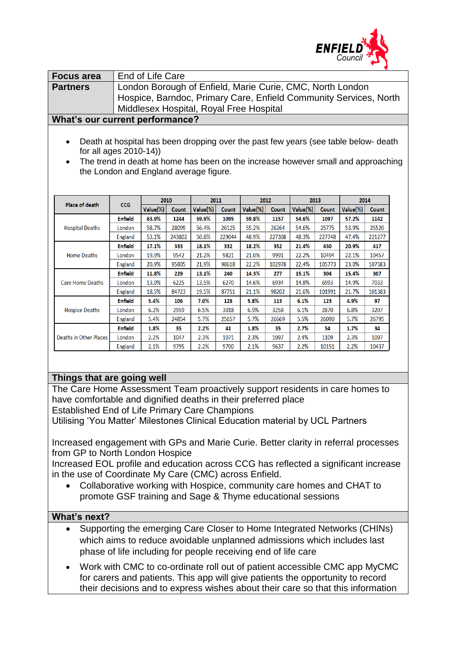

| <b>Focus area</b> | End of Life Care                                                  |
|-------------------|-------------------------------------------------------------------|
| <b>Partners</b>   | London Borough of Enfield, Marie Curie, CMC, North London         |
|                   | Hospice, Barndoc, Primary Care, Enfield Community Services, North |
|                   | Middlesex Hospital, Royal Free Hospital                           |
|                   |                                                                   |

#### **What's our current performance?**

- Death at hospital has been dropping over the past few years (see table below- death for all ages 2010-14))
- The trend in death at home has been on the increase however small and approaching the London and England average figure.

|                              |                | 2010     |        | 2011     |              | 2012     |              | 2013     |        | 2014     |        |
|------------------------------|----------------|----------|--------|----------|--------------|----------|--------------|----------|--------|----------|--------|
| Place of death<br><b>CCG</b> |                | Value(%) | Count  | Value(%) | <b>Count</b> | Value(%) | <b>Count</b> | Value(%) | Count  | Value(%) | Count  |
|                              | <b>Enfield</b> | 63.9%    | 1244   | 59.9%    | 1095         | 59.8%    | 1157         | 54.6%    | 1097   | 57.2%    | 1142   |
| <b>Hospital Deaths</b>       | London         | 58.7%    | 28099  | 56.4%    | 26125        | 55.2%    | 26264        | 54.6%    | 25775  | 53.9%    | 25520  |
|                              | England        | 53.1%    | 243802 | 50.8%    | 229044       | 48.9%    | 227308       | 48.3%    | 227748 | 47.4%    | 221277 |
|                              | <b>Enfield</b> | 17.1%    | 333    | 18.1%    | 332          | 18.2%    | 352          | 21.4%    | 430    | 20.9%    | 417    |
| <b>Home Deaths</b>           | London         | 19.9%    | 9542   | 21.2%    | 9821         | 21.0%    | 9991         | 22.2%    | 10494  | 22.1%    | 10457  |
|                              | England        | 20.9%    | 95805  | 21.9%    | 98618        | 22.2%    | 102978       | 22.4%    | 105773 | 23.0%    | 107383 |
|                              | <b>Enfield</b> | 11.8%    | 229    | 13.1%    | 240          | 14.3%    | 277          | 15.1%    | 304    | 15.4%    | 307    |
| <b>Care Home Deaths</b>      | London         | 13.0%    | 6225   | 13.5%    | 6270         | 14.6%    | 6934         | 14.8%    | 6993   | 14.9%    | 7033   |
|                              | England        | 18.5%    | 84723  | 19.5%    | 87751        | 21.1%    | 98202        | 21.6%    | 101991 | 21.7%    | 101383 |
|                              | Enfield        | 5.4%     | 106    | 7.0%     | 128          | 5.8%     | 113          | 6.1%     | 123    | 4.9%     | 97     |
| <b>Hospice Deaths</b>        | London         | 6.2%     | 2959   | 6.5%     | 3018         | 6.9%     | 3258         | 6.1%     | 2870   | 6.8%     | 3207   |
|                              | England        | 5.4%     | 24854  | 5.7%     | 25657        | 5.7%     | 26669        | 5.5%     | 26090  | 5.7%     | 26795  |
| Deaths in Other Places       | <b>Enfield</b> | 1.8%     | 35     | 2.2%     | 41           | 1.8%     | 35           | 2.7%     | 54     | 1.7%     | 34     |
|                              | London         | 2.2%     | 1047   | 2.3%     | 1071         | 2.3%     | 1097         | 2.4%     | 1109   | 2.3%     | 1097   |
|                              | England        | 2.1%     | 9795   | 2.2%     | 9700         | 2.1%     | 9637         | 2.2%     | 10151  | 2.2%     | 10437  |

## **Things that are going well**

The Care Home Assessment Team proactively support residents in care homes to have comfortable and dignified deaths in their preferred place Established End of Life Primary Care Champions

Utilising 'You Matter' Milestones Clinical Education material by UCL Partners

Increased engagement with GPs and Marie Curie. Better clarity in referral processes from GP to North London Hospice

Increased EOL profile and education across CCG has reflected a significant increase in the use of Coordinate My Care (CMC) across Enfield.

 Collaborative working with Hospice, community care homes and CHAT to promote GSF training and Sage & Thyme educational sessions

#### **What's next?**

- Supporting the emerging Care Closer to Home Integrated Networks (CHINs) which aims to reduce avoidable unplanned admissions which includes last phase of life including for people receiving end of life care
- Work with CMC to co-ordinate roll out of patient accessible CMC app MyCMC for carers and patients. This app will give patients the opportunity to record their decisions and to express wishes about their care so that this information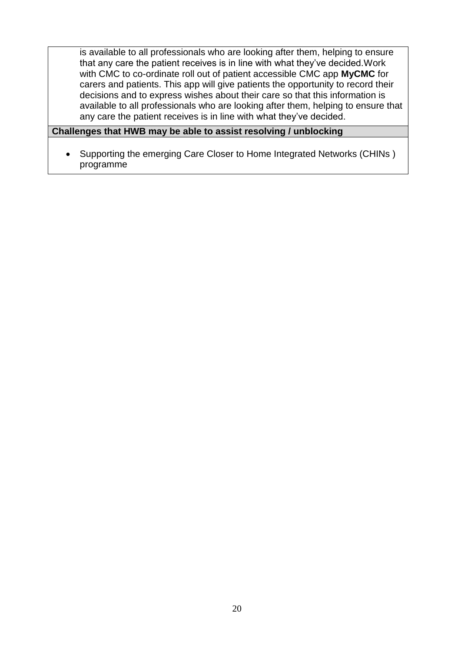is available to all professionals who are looking after them, helping to ensure that any care the patient receives is in line with what they've decided.Work with CMC to co-ordinate roll out of patient accessible CMC app **MyCMC** for carers and patients. This app will give patients the opportunity to record their decisions and to express wishes about their care so that this information is available to all professionals who are looking after them, helping to ensure that any care the patient receives is in line with what they've decided.

#### **Challenges that HWB may be able to assist resolving / unblocking**

• Supporting the emerging Care Closer to Home Integrated Networks (CHINs) programme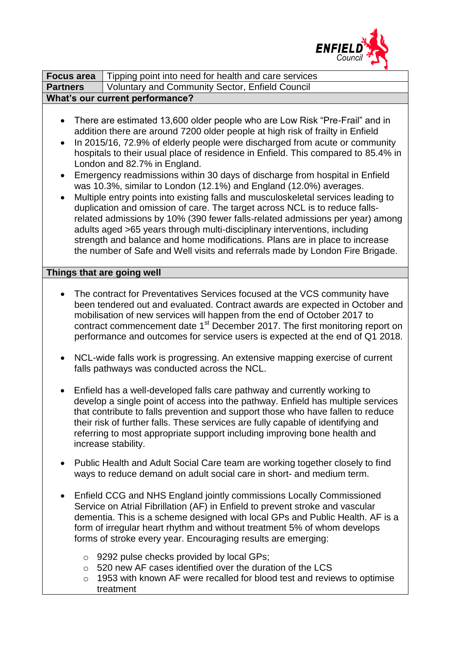

| <b>Focus area</b>                                | Tipping point into need for health and care services                                                                                                                                                                                                                                                                                                                                                                                                                                                                                                                                                                                                                                                                                                                                                                                                                                                                                                                                                                     |  |  |  |  |  |  |
|--------------------------------------------------|--------------------------------------------------------------------------------------------------------------------------------------------------------------------------------------------------------------------------------------------------------------------------------------------------------------------------------------------------------------------------------------------------------------------------------------------------------------------------------------------------------------------------------------------------------------------------------------------------------------------------------------------------------------------------------------------------------------------------------------------------------------------------------------------------------------------------------------------------------------------------------------------------------------------------------------------------------------------------------------------------------------------------|--|--|--|--|--|--|
| <b>Partners</b>                                  | <b>Voluntary and Community Sector, Enfield Council</b>                                                                                                                                                                                                                                                                                                                                                                                                                                                                                                                                                                                                                                                                                                                                                                                                                                                                                                                                                                   |  |  |  |  |  |  |
|                                                  | What's our current performance?                                                                                                                                                                                                                                                                                                                                                                                                                                                                                                                                                                                                                                                                                                                                                                                                                                                                                                                                                                                          |  |  |  |  |  |  |
| $\bullet$<br>$\bullet$<br>$\bullet$<br>$\bullet$ | There are estimated 13,600 older people who are Low Risk "Pre-Frail" and in<br>addition there are around 7200 older people at high risk of frailty in Enfield<br>In 2015/16, 72.9% of elderly people were discharged from acute or community<br>hospitals to their usual place of residence in Enfield. This compared to 85.4% in<br>London and 82.7% in England.<br>Emergency readmissions within 30 days of discharge from hospital in Enfield<br>was 10.3%, similar to London (12.1%) and England (12.0%) averages.<br>Multiple entry points into existing falls and musculoskeletal services leading to<br>duplication and omission of care. The target across NCL is to reduce falls-<br>related admissions by 10% (390 fewer falls-related admissions per year) among<br>adults aged >65 years through multi-disciplinary interventions, including<br>strength and balance and home modifications. Plans are in place to increase<br>the number of Safe and Well visits and referrals made by London Fire Brigade. |  |  |  |  |  |  |
|                                                  | Things that are going well                                                                                                                                                                                                                                                                                                                                                                                                                                                                                                                                                                                                                                                                                                                                                                                                                                                                                                                                                                                               |  |  |  |  |  |  |
| $\bullet$<br>$\bullet$                           | The contract for Preventatives Services focused at the VCS community have<br>been tendered out and evaluated. Contract awards are expected in October and<br>mobilisation of new services will happen from the end of October 2017 to<br>contract commencement date 1 <sup>st</sup> December 2017. The first monitoring report on<br>performance and outcomes for service users is expected at the end of Q1 2018.<br>NCL-wide falls work is progressing. An extensive mapping exercise of current<br>falls pathways was conducted across the NCL.<br>Enfield has a well-developed falls care pathway and currently working to<br>develop a single point of access into the pathway. Enfield has multiple services<br>that contribute to falls prevention and support those who have fallen to reduce<br>their risk of further falls. These services are fully capable of identifying and<br>referring to most appropriate support including improving bone health and<br>increase stability.                            |  |  |  |  |  |  |
| $\bullet$<br>$\bullet$                           | Public Health and Adult Social Care team are working together closely to find<br>ways to reduce demand on adult social care in short- and medium term.<br>Enfield CCG and NHS England jointly commissions Locally Commissioned<br>Service on Atrial Fibrillation (AF) in Enfield to prevent stroke and vascular<br>dementia. This is a scheme designed with local GPs and Public Health. AF is a<br>form of irregular heart rhythm and without treatment 5% of whom develops<br>forms of stroke every year. Encouraging results are emerging:                                                                                                                                                                                                                                                                                                                                                                                                                                                                            |  |  |  |  |  |  |
| $\circ$<br>$\circ$                               | o 9292 pulse checks provided by local GPs;<br>520 new AF cases identified over the duration of the LCS<br>1953 with known AF were recalled for blood test and reviews to optimise<br>treatment                                                                                                                                                                                                                                                                                                                                                                                                                                                                                                                                                                                                                                                                                                                                                                                                                           |  |  |  |  |  |  |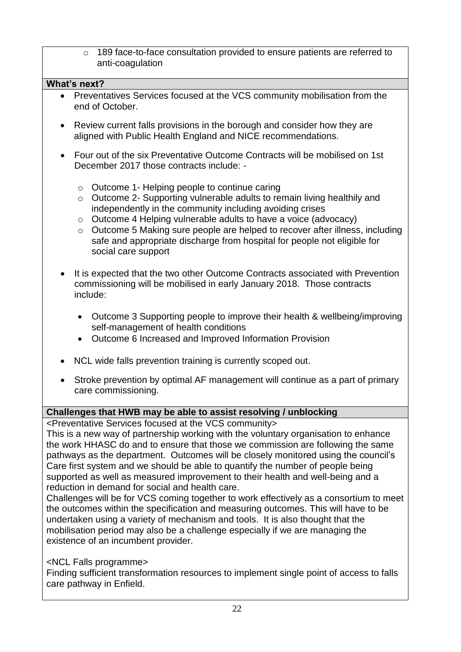| 189 face-to-face consultation provided to ensure patients are referred to<br>$\circ$<br>anti-coagulation                                                                                                                                                                                                                                                                                                                                                                                                                                                                                                                                                                                                                                                                                                                                                                                                                                                                          |
|-----------------------------------------------------------------------------------------------------------------------------------------------------------------------------------------------------------------------------------------------------------------------------------------------------------------------------------------------------------------------------------------------------------------------------------------------------------------------------------------------------------------------------------------------------------------------------------------------------------------------------------------------------------------------------------------------------------------------------------------------------------------------------------------------------------------------------------------------------------------------------------------------------------------------------------------------------------------------------------|
| What's next?                                                                                                                                                                                                                                                                                                                                                                                                                                                                                                                                                                                                                                                                                                                                                                                                                                                                                                                                                                      |
| Preventatives Services focused at the VCS community mobilisation from the<br>end of October.                                                                                                                                                                                                                                                                                                                                                                                                                                                                                                                                                                                                                                                                                                                                                                                                                                                                                      |
| Review current falls provisions in the borough and consider how they are<br>$\bullet$<br>aligned with Public Health England and NICE recommendations.                                                                                                                                                                                                                                                                                                                                                                                                                                                                                                                                                                                                                                                                                                                                                                                                                             |
| Four out of the six Preventative Outcome Contracts will be mobilised on 1st<br>$\bullet$<br>December 2017 those contracts include: -                                                                                                                                                                                                                                                                                                                                                                                                                                                                                                                                                                                                                                                                                                                                                                                                                                              |
| Outcome 1- Helping people to continue caring<br>$\circ$<br>Outcome 2- Supporting vulnerable adults to remain living healthily and<br>$\circ$<br>independently in the community including avoiding crises<br>Outcome 4 Helping vulnerable adults to have a voice (advocacy)<br>$\circ$<br>Outcome 5 Making sure people are helped to recover after illness, including<br>$\circ$<br>safe and appropriate discharge from hospital for people not eligible for<br>social care support                                                                                                                                                                                                                                                                                                                                                                                                                                                                                                |
| It is expected that the two other Outcome Contracts associated with Prevention<br>commissioning will be mobilised in early January 2018. Those contracts<br>include:                                                                                                                                                                                                                                                                                                                                                                                                                                                                                                                                                                                                                                                                                                                                                                                                              |
| Outcome 3 Supporting people to improve their health & wellbeing/improving<br>$\bullet$<br>self-management of health conditions<br>Outcome 6 Increased and Improved Information Provision                                                                                                                                                                                                                                                                                                                                                                                                                                                                                                                                                                                                                                                                                                                                                                                          |
| NCL wide falls prevention training is currently scoped out.                                                                                                                                                                                                                                                                                                                                                                                                                                                                                                                                                                                                                                                                                                                                                                                                                                                                                                                       |
| Stroke prevention by optimal AF management will continue as a part of primary<br>care commissioning.                                                                                                                                                                                                                                                                                                                                                                                                                                                                                                                                                                                                                                                                                                                                                                                                                                                                              |
| Challenges that HWB may be able to assist resolving / unblocking                                                                                                                                                                                                                                                                                                                                                                                                                                                                                                                                                                                                                                                                                                                                                                                                                                                                                                                  |
| <preventative at="" community="" focused="" services="" the="" vcs=""><br/>This is a new way of partnership working with the voluntary organisation to enhance<br/>the work HHASC do and to ensure that those we commission are following the same<br/>pathways as the department. Outcomes will be closely monitored using the council's<br/>Care first system and we should be able to quantify the number of people being<br/>supported as well as measured improvement to their health and well-being and a<br/>reduction in demand for social and health care.<br/>Challenges will be for VCS coming together to work effectively as a consortium to meet<br/>the outcomes within the specification and measuring outcomes. This will have to be<br/>undertaken using a variety of mechanism and tools. It is also thought that the<br/>mobilisation period may also be a challenge especially if we are managing the<br/>existence of an incumbent provider.</preventative> |

<NCL Falls programme>

Finding sufficient transformation resources to implement single point of access to falls care pathway in Enfield.